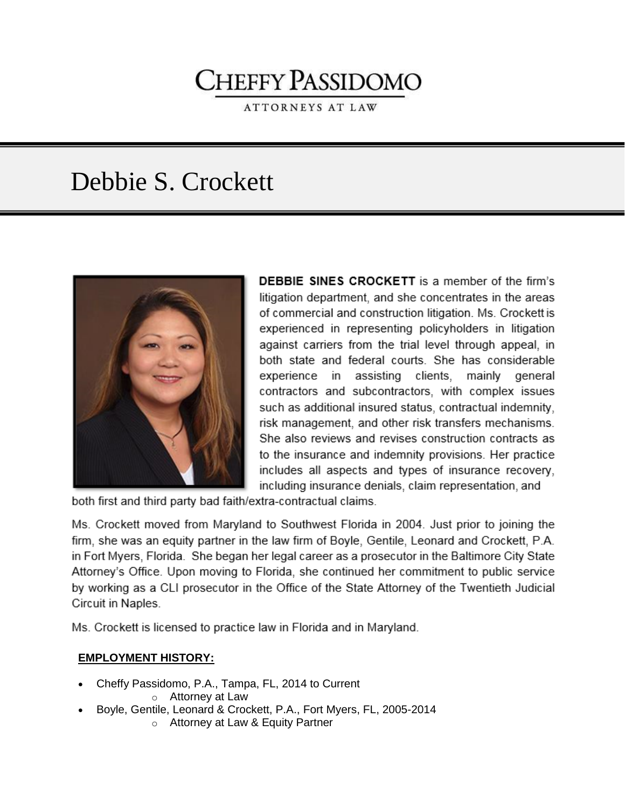# **CHEFFY PASSIDOMO**

**ATTORNEYS AT LAW** 

# Debbie S. Crockett



**DEBBIE SINES CROCKETT** is a member of the firm's litigation department, and she concentrates in the areas of commercial and construction litigation. Ms. Crockett is experienced in representing policyholders in litigation against carriers from the trial level through appeal, in both state and federal courts. She has considerable experience in assisting clients, mainly general contractors and subcontractors, with complex issues such as additional insured status, contractual indemnity, risk management, and other risk transfers mechanisms. She also reviews and revises construction contracts as to the insurance and indemnity provisions. Her practice includes all aspects and types of insurance recovery, including insurance denials, claim representation, and

both first and third party bad faith/extra-contractual claims.

Ms. Crockett moved from Maryland to Southwest Florida in 2004. Just prior to joining the firm, she was an equity partner in the law firm of Boyle, Gentile, Leonard and Crockett, P.A. in Fort Myers, Florida. She began her legal career as a prosecutor in the Baltimore City State Attorney's Office. Upon moving to Florida, she continued her commitment to public service by working as a CLI prosecutor in the Office of the State Attorney of the Twentieth Judicial Circuit in Naples.

Ms. Crockett is licensed to practice law in Florida and in Maryland.

#### **EMPLOYMENT HISTORY:**

- Cheffy Passidomo, P.A., Tampa, FL, 2014 to Current
	- o Attorney at Law
- Boyle, Gentile, Leonard & Crockett, P.A., Fort Myers, FL, 2005-2014
	- o Attorney at Law & Equity Partner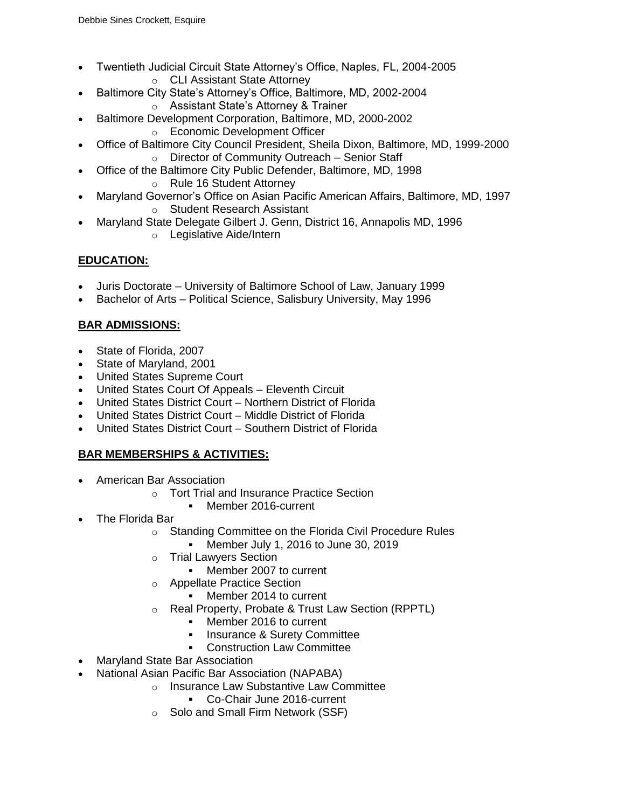- Twentieth Judicial Circuit State Attorney's Office, Naples, FL, 2004-2005 o CLI Assistant State Attorney
- Baltimore City State's Attorney's Office, Baltimore, MD, 2002-2004
	- o Assistant State's Attorney & Trainer
- Baltimore Development Corporation, Baltimore, MD, 2000-2002
	- o Economic Development Officer
- Office of Baltimore City Council President, Sheila Dixon, Baltimore, MD, 1999-2000 o Director of Community Outreach – Senior Staff
- Office of the Baltimore City Public Defender, Baltimore, MD, 1998
	- o Rule 16 Student Attorney
- Maryland Governor's Office on Asian Pacific American Affairs, Baltimore, MD, 1997 o Student Research Assistant
- Maryland State Delegate Gilbert J. Genn, District 16, Annapolis MD, 1996
	- o Legislative Aide/Intern

# **EDUCATION:**

- Juris Doctorate [University of Baltimore School of Law,](http://law.ubalt.edu/index.cfm) January 1999
- Bachelor of Arts Political Science, [Salisbury University,](http://www.salisbury.edu/) May 1996

# **BAR ADMISSIONS:**

- [State of Florida,](http://www.flabar.org/) 2007
- [State of Maryland,](http://www.msba.org/) 2001
- United States Supreme Court
- United States Court Of Appeals Eleventh Circuit
- United States District Court [–](http://www.flsd.uscourts.gov/) Northern District of Florida
- [United States District Court –](http://www.flmd.uscourts.gov/) Middle District of Florida
- [United States District Court –](http://www.flsd.uscourts.gov/) Southern District of Florida

# **BAR MEMBERSHIPS & ACTIVITIES:**

- American Bar Association
	- o Tort Trial and Insurance Practice Section
		- Member 2016-current
- The Florida Bar
	- o Standing Committee on the Florida Civil Procedure Rules
		- Member July 1, 2016 to June 30, 2019
	- o Trial Lawyers Section
		- **Member 2007 to current**
	- o Appellate Practice Section
		- Member 2014 to current
	- o Real Property, Probate & Trust Law Section (RPPTL)
		- **Member 2016 to current**
		- **Insurance & Surety Committee**
		- **Construction Law Committee**
- Maryland State Bar Association
- National Asian Pacific Bar Association (NAPABA)
	- o Insurance Law Substantive Law Committee
		- Co-Chair June 2016-current
		- o Solo and Small Firm Network (SSF)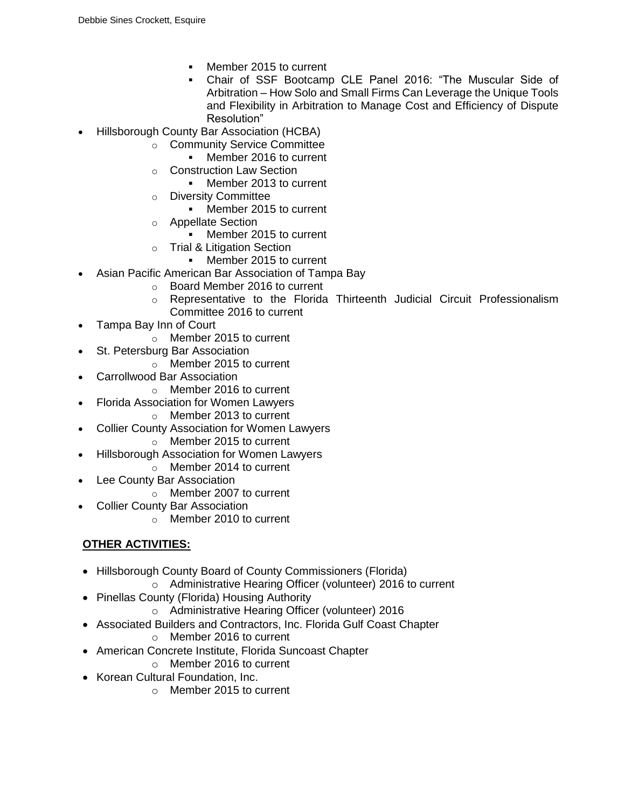- Member 2015 to current
- Chair of SSF Bootcamp CLE Panel 2016: "The Muscular Side of Arbitration – How Solo and Small Firms Can Leverage the Unique Tools and Flexibility in Arbitration to Manage Cost and Efficiency of Dispute Resolution"
- Hillsborough County Bar Association (HCBA)
	- o Community Service Committee
		- Member 2016 to current
		- o Construction Law Section
			- Member 2013 to current
		- o Diversity Committee
			- Member 2015 to current
		- o Appellate Section
			- **Member 2015 to current**
		- o Trial & Litigation Section
			- Member 2015 to current
- Asian Pacific American Bar Association of Tampa Bay
	- o Board Member 2016 to current
	- o Representative to the Florida Thirteenth Judicial Circuit Professionalism Committee 2016 to current
- Tampa Bay Inn of Court
	- o Member 2015 to current
- St. Petersburg Bar Association
	- o Member 2015 to current
- Carrollwood Bar Association
	- o Member 2016 to current
- Florida Association for Women Lawyers
	- o Member 2013 to current
- Collier County Association for Women Lawyers
	- o Member 2015 to current
- Hillsborough Association for Women Lawyers
	- o Member 2014 to current
- Lee County Bar Association
	- o Member 2007 to current
- Collier County Bar Association
	- $\circ$  Member 2010 to current

# **OTHER ACTIVITIES:**

- Hillsborough County Board of County Commissioners (Florida)
	- o Administrative Hearing Officer (volunteer) 2016 to current
- Pinellas County (Florida) Housing Authority
	- o Administrative Hearing Officer (volunteer) 2016
- Associated Builders and Contractors, Inc. Florida Gulf Coast Chapter
	- o Member 2016 to current
- American Concrete Institute, Florida Suncoast Chapter
	- o Member 2016 to current
- Korean Cultural Foundation, Inc.
	- o Member 2015 to current